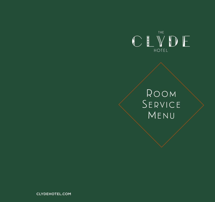

## Room Service MENU

CLYDEHOTEL.COM